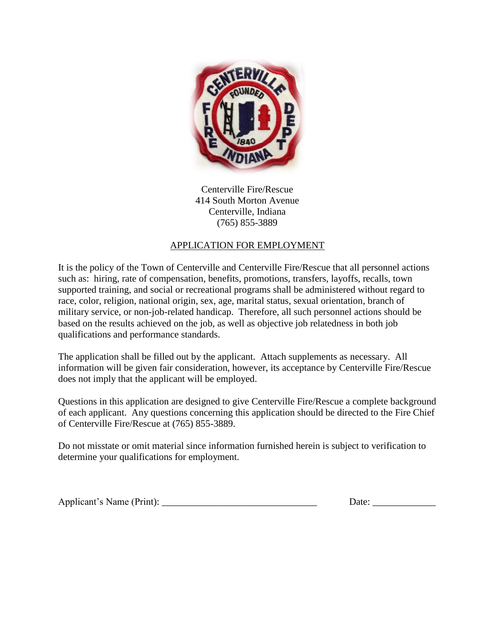

Centerville Fire/Rescue 414 South Morton Avenue Centerville, Indiana (765) 855-3889

# APPLICATION FOR EMPLOYMENT

It is the policy of the Town of Centerville and Centerville Fire/Rescue that all personnel actions such as: hiring, rate of compensation, benefits, promotions, transfers, layoffs, recalls, town supported training, and social or recreational programs shall be administered without regard to race, color, religion, national origin, sex, age, marital status, sexual orientation, branch of military service, or non-job-related handicap. Therefore, all such personnel actions should be based on the results achieved on the job, as well as objective job relatedness in both job qualifications and performance standards.

The application shall be filled out by the applicant. Attach supplements as necessary. All information will be given fair consideration, however, its acceptance by Centerville Fire/Rescue does not imply that the applicant will be employed.

Questions in this application are designed to give Centerville Fire/Rescue a complete background of each applicant. Any questions concerning this application should be directed to the Fire Chief of Centerville Fire/Rescue at (765) 855-3889.

Do not misstate or omit material since information furnished herein is subject to verification to determine your qualifications for employment.

| Applicant's Name (Print): | Jate |
|---------------------------|------|
|                           |      |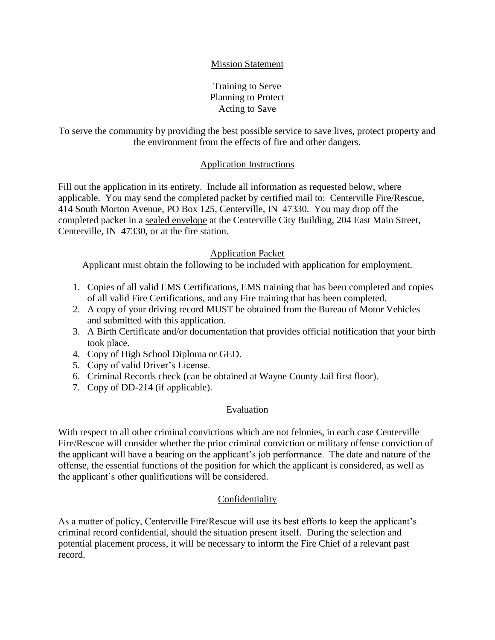## Mission Statement

Training to Serve Planning to Protect Acting to Save

To serve the community by providing the best possible service to save lives, protect property and the environment from the effects of fire and other dangers.

### Application Instructions

Fill out the application in its entirety. Include all information as requested below, where applicable. You may send the completed packet by certified mail to: Centerville Fire/Rescue, 414 South Morton Avenue, PO Box 125, Centerville, IN 47330. You may drop off the completed packet in a sealed envelope at the Centerville City Building, 204 East Main Street, Centerville, IN 47330, or at the fire station.

### Application Packet

Applicant must obtain the following to be included with application for employment.

- 1. Copies of all valid EMS Certifications, EMS training that has been completed and copies of all valid Fire Certifications, and any Fire training that has been completed.
- 2. A copy of your driving record MUST be obtained from the Bureau of Motor Vehicles and submitted with this application.
- 3. A Birth Certificate and/or documentation that provides official notification that your birth took place.
- 4. Copy of High School Diploma or GED.
- 5. Copy of valid Driver's License.
- 6. Criminal Records check (can be obtained at Wayne County Jail first floor).
- 7. Copy of DD-214 (if applicable).

### Evaluation

With respect to all other criminal convictions which are not felonies, in each case Centerville Fire/Rescue will consider whether the prior criminal conviction or military offense conviction of the applicant will have a bearing on the applicant's job performance. The date and nature of the offense, the essential functions of the position for which the applicant is considered, as well as the applicant's other qualifications will be considered.

### Confidentiality

As a matter of policy, Centerville Fire/Rescue will use its best efforts to keep the applicant's criminal record confidential, should the situation present itself. During the selection and potential placement process, it will be necessary to inform the Fire Chief of a relevant past record.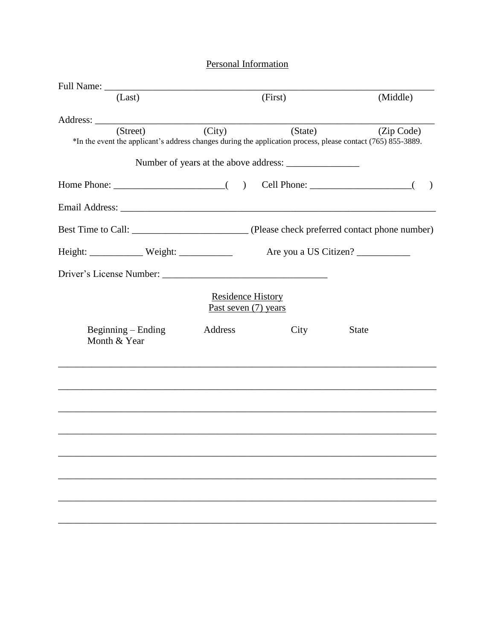# Personal Information

|                                                                                                                          |                                                    |         | (Middle)              |
|--------------------------------------------------------------------------------------------------------------------------|----------------------------------------------------|---------|-----------------------|
| (Last)                                                                                                                   |                                                    | (First) |                       |
|                                                                                                                          |                                                    |         |                       |
| (Street)<br>*In the event the applicant's address changes during the application process, please contact (765) 855-3889. | (City)                                             | (State) | (Zip Code)            |
|                                                                                                                          |                                                    |         |                       |
|                                                                                                                          |                                                    |         |                       |
|                                                                                                                          |                                                    |         |                       |
|                                                                                                                          |                                                    |         |                       |
|                                                                                                                          |                                                    |         | Are you a US Citizen? |
|                                                                                                                          |                                                    |         |                       |
|                                                                                                                          | <b>Residence History</b><br>Past seven $(7)$ years |         |                       |
| $Beginning - Ending$<br>Month & Year                                                                                     | Address                                            | City    | <b>State</b>          |
|                                                                                                                          |                                                    |         |                       |
|                                                                                                                          |                                                    |         |                       |
|                                                                                                                          |                                                    |         |                       |
|                                                                                                                          |                                                    |         |                       |
|                                                                                                                          |                                                    |         |                       |
|                                                                                                                          |                                                    |         |                       |
|                                                                                                                          |                                                    |         |                       |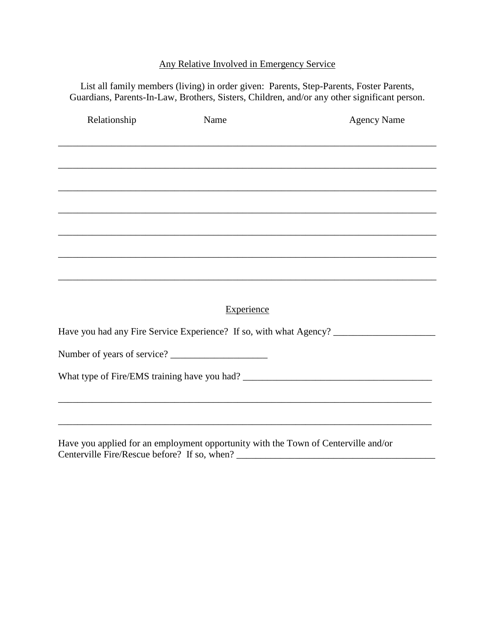# Any Relative Involved in Emergency Service

List all family members (living) in order given: Parents, Step-Parents, Foster Parents, Guardians, Parents-In-Law, Brothers, Sisters, Children, and/or any other significant person.

| Relationship                | Name                                                                               | <b>Agency Name</b>                                                                |
|-----------------------------|------------------------------------------------------------------------------------|-----------------------------------------------------------------------------------|
|                             |                                                                                    |                                                                                   |
|                             |                                                                                    |                                                                                   |
|                             |                                                                                    |                                                                                   |
|                             |                                                                                    |                                                                                   |
|                             |                                                                                    |                                                                                   |
|                             |                                                                                    |                                                                                   |
|                             |                                                                                    |                                                                                   |
|                             |                                                                                    |                                                                                   |
|                             |                                                                                    |                                                                                   |
|                             | <b>Experience</b>                                                                  |                                                                                   |
|                             |                                                                                    | Have you had any Fire Service Experience? If so, with what Agency? ______________ |
| Number of years of service? |                                                                                    |                                                                                   |
|                             |                                                                                    |                                                                                   |
|                             |                                                                                    |                                                                                   |
|                             |                                                                                    |                                                                                   |
|                             | Have you applied for an employment opportunity with the Town of Centerville and/or |                                                                                   |

Centerville Fire/Rescue before? If so, when? \_\_\_\_\_\_\_\_\_\_\_\_\_\_\_\_\_\_\_\_\_\_\_\_\_\_\_\_\_\_\_\_\_\_\_\_\_\_\_\_\_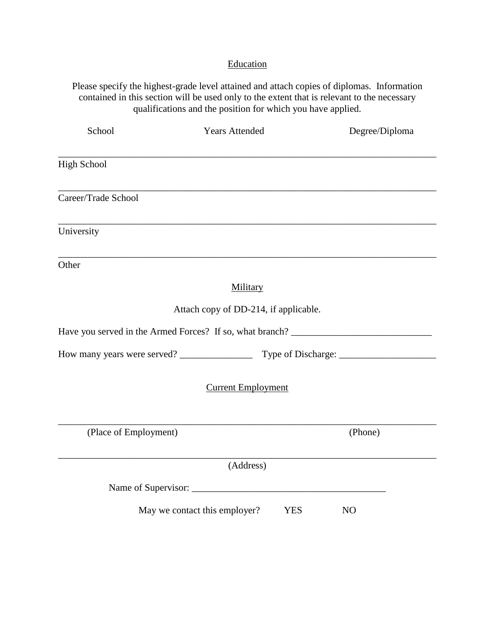# **Education**

Please specify the highest-grade level attained and attach copies of diplomas. Information contained in this section will be used only to the extent that is relevant to the necessary qualifications and the position for which you have applied.

| School                | <b>Years Attended</b>                                                             | Degree/Diploma |  |
|-----------------------|-----------------------------------------------------------------------------------|----------------|--|
| <b>High School</b>    |                                                                                   |                |  |
| Career/Trade School   |                                                                                   |                |  |
| University            |                                                                                   |                |  |
| Other                 |                                                                                   |                |  |
|                       | Military                                                                          |                |  |
|                       | Attach copy of DD-214, if applicable.                                             |                |  |
|                       | Have you served in the Armed Forces? If so, what branch? ________________________ |                |  |
|                       |                                                                                   |                |  |
|                       | <b>Current Employment</b>                                                         |                |  |
| (Place of Employment) |                                                                                   | (Phone)        |  |
|                       | (Address)                                                                         |                |  |
|                       |                                                                                   |                |  |
|                       | May we contact this employer?<br><b>YES</b>                                       | N <sub>O</sub> |  |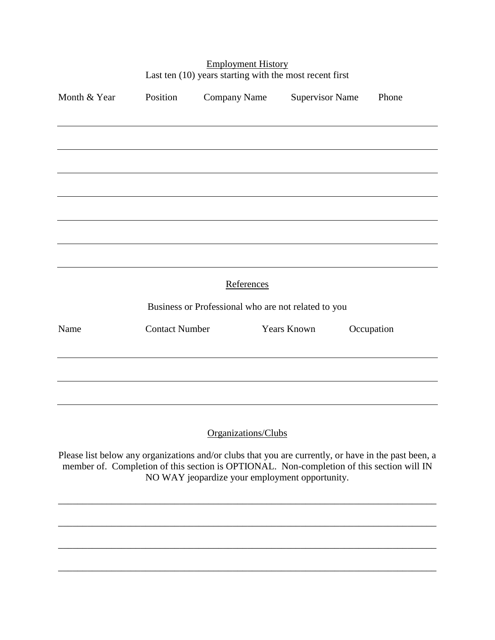| Month & Year | Position              | <b>Company Name</b>                                                                                                                                                                                                                                 | <b>Supervisor Name</b> | Phone      |  |
|--------------|-----------------------|-----------------------------------------------------------------------------------------------------------------------------------------------------------------------------------------------------------------------------------------------------|------------------------|------------|--|
|              |                       |                                                                                                                                                                                                                                                     |                        |            |  |
|              |                       |                                                                                                                                                                                                                                                     |                        |            |  |
|              |                       |                                                                                                                                                                                                                                                     |                        |            |  |
|              |                       |                                                                                                                                                                                                                                                     |                        |            |  |
|              |                       |                                                                                                                                                                                                                                                     |                        |            |  |
|              |                       | References                                                                                                                                                                                                                                          |                        |            |  |
|              |                       | Business or Professional who are not related to you                                                                                                                                                                                                 |                        |            |  |
| Name         | <b>Contact Number</b> |                                                                                                                                                                                                                                                     | <b>Years Known</b>     | Occupation |  |
|              |                       |                                                                                                                                                                                                                                                     |                        |            |  |
|              |                       |                                                                                                                                                                                                                                                     |                        |            |  |
|              |                       | Organizations/Clubs                                                                                                                                                                                                                                 |                        |            |  |
|              |                       | Please list below any organizations and/or clubs that you are currently, or have in the past been, a<br>member of. Completion of this section is OPTIONAL. Non-completion of this section will IN<br>NO WAY jeopardize your employment opportunity. |                        |            |  |

\_\_\_\_\_\_\_\_\_\_\_\_\_\_\_\_\_\_\_\_\_\_\_\_\_\_\_\_\_\_\_\_\_\_\_\_\_\_\_\_\_\_\_\_\_\_\_\_\_\_\_\_\_\_\_\_\_\_\_\_\_\_\_\_\_\_\_\_\_\_\_\_\_\_\_\_\_\_

\_\_\_\_\_\_\_\_\_\_\_\_\_\_\_\_\_\_\_\_\_\_\_\_\_\_\_\_\_\_\_\_\_\_\_\_\_\_\_\_\_\_\_\_\_\_\_\_\_\_\_\_\_\_\_\_\_\_\_\_\_\_\_\_\_\_\_\_\_\_\_\_\_\_\_\_\_\_

\_\_\_\_\_\_\_\_\_\_\_\_\_\_\_\_\_\_\_\_\_\_\_\_\_\_\_\_\_\_\_\_\_\_\_\_\_\_\_\_\_\_\_\_\_\_\_\_\_\_\_\_\_\_\_\_\_\_\_\_\_\_\_\_\_\_\_\_\_\_\_\_\_\_\_\_\_\_

### Employment History Last ten (10) years starting with the most recent first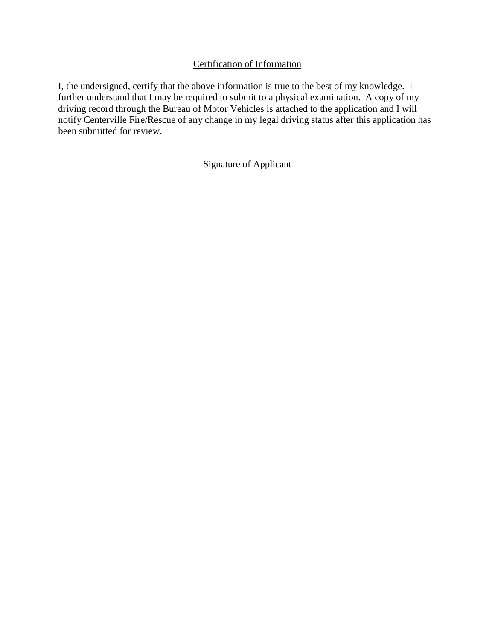Certification of Information

I, the undersigned, certify that the above information is true to the best of my knowledge. I further understand that I may be required to submit to a physical examination. A copy of my driving record through the Bureau of Motor Vehicles is attached to the application and I will notify Centerville Fire/Rescue of any change in my legal driving status after this application has been submitted for review.

> \_\_\_\_\_\_\_\_\_\_\_\_\_\_\_\_\_\_\_\_\_\_\_\_\_\_\_\_\_\_\_\_\_\_\_\_\_\_\_ Signature of Applicant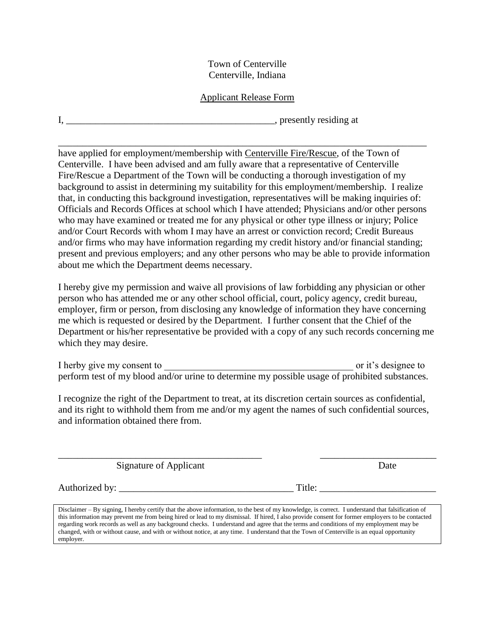### Town of Centerville Centerville, Indiana

## Applicant Release Form

\_\_\_\_\_\_\_\_\_\_\_\_\_\_\_\_\_\_\_\_\_\_\_\_\_\_\_\_\_\_\_\_\_\_\_\_\_\_\_\_\_\_\_\_\_\_\_\_\_\_\_\_\_\_\_\_\_\_\_\_\_\_\_\_\_\_\_\_\_\_\_\_\_\_\_\_

I, \_\_\_\_\_\_\_\_\_\_\_\_\_\_\_\_\_\_\_\_\_\_\_\_\_\_\_\_\_\_\_\_\_\_\_\_\_\_\_\_\_\_\_, presently residing at

have applied for employment/membership with Centerville Fire/Rescue, of the Town of Centerville. I have been advised and am fully aware that a representative of Centerville Fire/Rescue a Department of the Town will be conducting a thorough investigation of my background to assist in determining my suitability for this employment/membership. I realize that, in conducting this background investigation, representatives will be making inquiries of: Officials and Records Offices at school which I have attended; Physicians and/or other persons who may have examined or treated me for any physical or other type illness or injury; Police and/or Court Records with whom I may have an arrest or conviction record; Credit Bureaus and/or firms who may have information regarding my credit history and/or financial standing; present and previous employers; and any other persons who may be able to provide information about me which the Department deems necessary.

I hereby give my permission and waive all provisions of law forbidding any physician or other person who has attended me or any other school official, court, policy agency, credit bureau, employer, firm or person, from disclosing any knowledge of information they have concerning me which is requested or desired by the Department. I further consent that the Chief of the Department or his/her representative be provided with a copy of any such records concerning me which they may desire.

I herby give my consent to  $\overline{a}$  and  $\overline{b}$  are it's designee to  $\overline{b}$ perform test of my blood and/or urine to determine my possible usage of prohibited substances.

I recognize the right of the Department to treat, at its discretion certain sources as confidential, and its right to withhold them from me and/or my agent the names of such confidential sources, and information obtained there from.

\_\_\_\_\_\_\_\_\_\_\_\_\_\_\_\_\_\_\_\_\_\_\_\_\_\_\_\_\_\_\_\_\_\_\_\_\_\_\_\_\_\_ \_\_\_\_\_\_\_\_\_\_\_\_\_\_\_\_\_\_\_\_\_\_\_\_

Signature of Applicant Date

Authorized by: \_\_\_\_\_\_\_\_\_\_\_\_\_\_\_\_\_\_\_\_\_\_\_\_\_\_\_\_\_\_\_\_\_\_\_\_ Title: \_\_\_\_\_\_\_\_\_\_\_\_\_\_\_\_\_\_\_\_\_\_\_\_

Disclaimer – By signing, I hereby certify that the above information, to the best of my knowledge, is correct. I understand that falsification of this information may prevent me from being hired or lead to my dismissal. If hired, I also provide consent for former employers to be contacted regarding work records as well as any background checks. I understand and agree that the terms and conditions of my employment may be changed, with or without cause, and with or without notice, at any time. I understand that the Town of Centerville is an equal opportunity employer.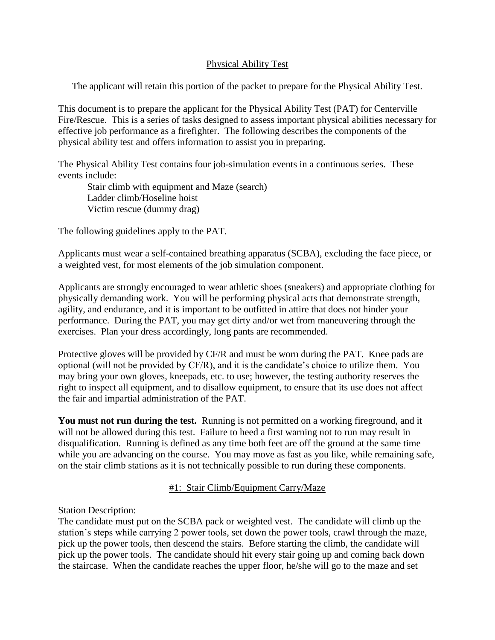## Physical Ability Test

The applicant will retain this portion of the packet to prepare for the Physical Ability Test.

This document is to prepare the applicant for the Physical Ability Test (PAT) for Centerville Fire/Rescue. This is a series of tasks designed to assess important physical abilities necessary for effective job performance as a firefighter. The following describes the components of the physical ability test and offers information to assist you in preparing.

The Physical Ability Test contains four job-simulation events in a continuous series. These events include:

Stair climb with equipment and Maze (search) Ladder climb/Hoseline hoist Victim rescue (dummy drag)

The following guidelines apply to the PAT.

Applicants must wear a self-contained breathing apparatus (SCBA), excluding the face piece, or a weighted vest, for most elements of the job simulation component.

Applicants are strongly encouraged to wear athletic shoes (sneakers) and appropriate clothing for physically demanding work. You will be performing physical acts that demonstrate strength, agility, and endurance, and it is important to be outfitted in attire that does not hinder your performance. During the PAT, you may get dirty and/or wet from maneuvering through the exercises. Plan your dress accordingly, long pants are recommended.

Protective gloves will be provided by CF/R and must be worn during the PAT. Knee pads are optional (will not be provided by CF/R), and it is the candidate's choice to utilize them. You may bring your own gloves, kneepads, etc. to use; however, the testing authority reserves the right to inspect all equipment, and to disallow equipment, to ensure that its use does not affect the fair and impartial administration of the PAT.

**You must not run during the test.** Running is not permitted on a working fireground, and it will not be allowed during this test. Failure to heed a first warning not to run may result in disqualification. Running is defined as any time both feet are off the ground at the same time while you are advancing on the course. You may move as fast as you like, while remaining safe, on the stair climb stations as it is not technically possible to run during these components.

## #1: Stair Climb/Equipment Carry/Maze

Station Description:

The candidate must put on the SCBA pack or weighted vest. The candidate will climb up the station's steps while carrying 2 power tools, set down the power tools, crawl through the maze, pick up the power tools, then descend the stairs. Before starting the climb, the candidate will pick up the power tools. The candidate should hit every stair going up and coming back down the staircase. When the candidate reaches the upper floor, he/she will go to the maze and set